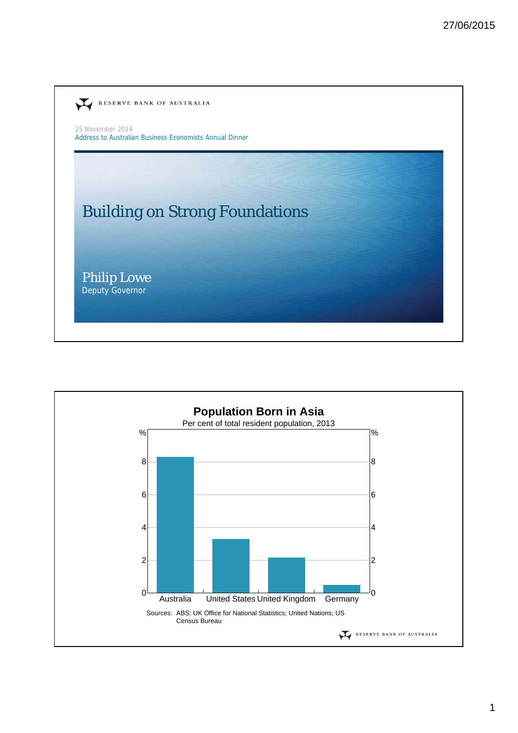

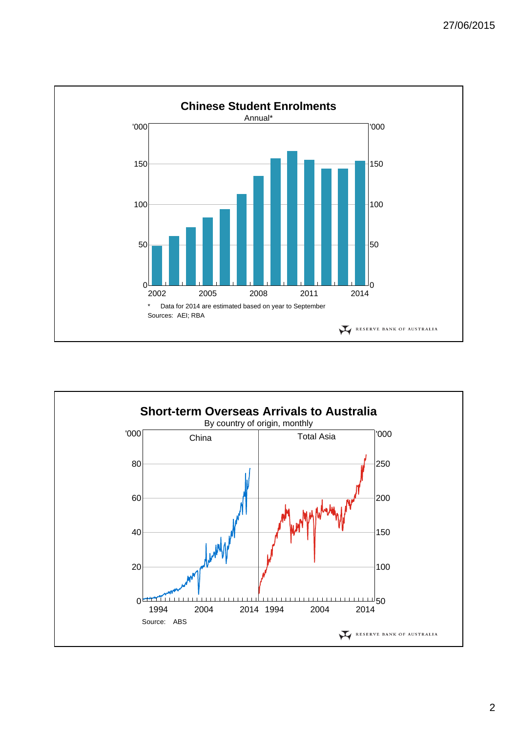

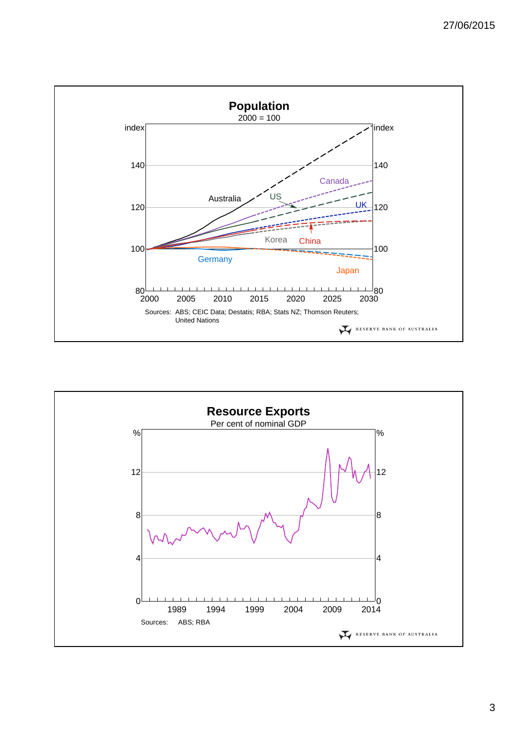

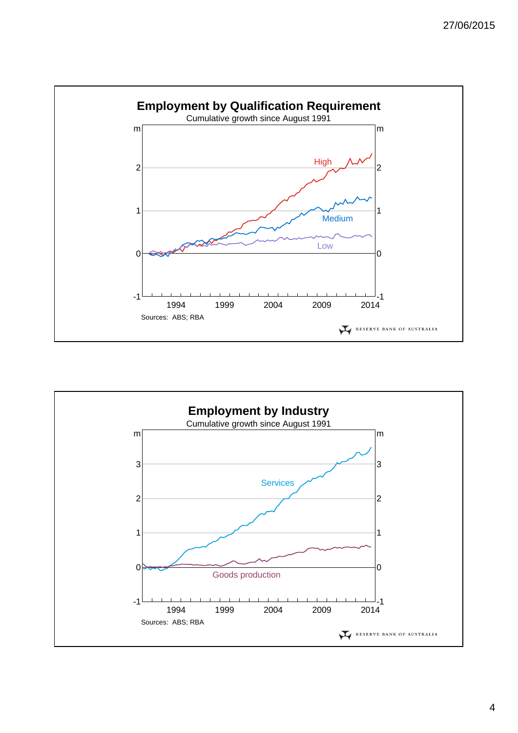

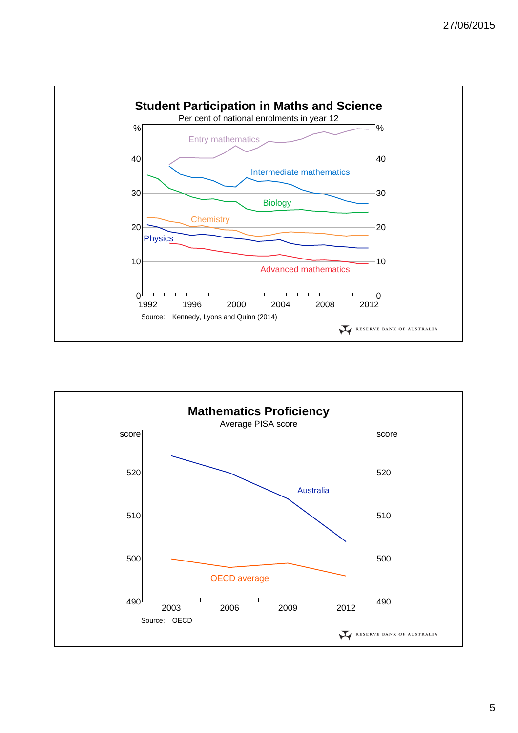